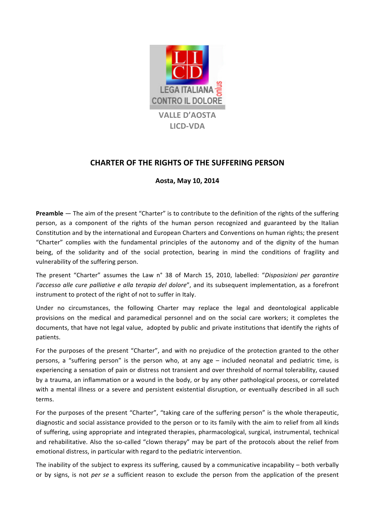

## **CHARTER OF THE RIGHTS OF THE SUFFERING PERSON**

## **Aosta, May 10, 2014**

**Preamble** — The aim of the present "Charter" is to contribute to the definition of the rights of the suffering person, as a component of the rights of the human person recognized and guaranteed by the Italian Constitution and by the international and European Charters and Conventions on human rights; the present "Charter" complies with the fundamental principles of the autonomy and of the dignity of the human being, of the solidarity and of the social protection, bearing in mind the conditions of fragility and vulnerability of the suffering person.

The present "Charter" assumes the Law n° 38 of March 15, 2010, labelled: "Disposizioni per garantire *l'accesso alle cure palliative e alla terapia del dolore"*, and its subsequent implementation, as a forefront instrument to protect of the right of not to suffer in Italy.

Under no circumstances, the following Charter may replace the legal and deontological applicable provisions on the medical and paramedical personnel and on the social care workers; it completes the documents, that have not legal value, adopted by public and private institutions that identify the rights of patients.

For the purposes of the present "Charter", and with no prejudice of the protection granted to the other persons, a "suffering person" is the person who, at any age  $-$  included neonatal and pediatric time, is experiencing a sensation of pain or distress not transient and over threshold of normal tolerability, caused by a trauma, an inflammation or a wound in the body, or by any other pathological process, or correlated with a mental illness or a severe and persistent existential disruption, or eventually described in all such terms.

For the purposes of the present "Charter", "taking care of the suffering person" is the whole therapeutic, diagnostic and social assistance provided to the person or to its family with the aim to relief from all kinds of suffering, using appropriate and integrated therapies, pharmacological, surgical, instrumental, technical and rehabilitative. Also the so-called "clown therapy" may be part of the protocols about the relief from emotional distress, in particular with regard to the pediatric intervention.

The inability of the subject to express its suffering, caused by a communicative incapability  $-$  both verbally or by signs, is not *per se* a sufficient reason to exclude the person from the application of the present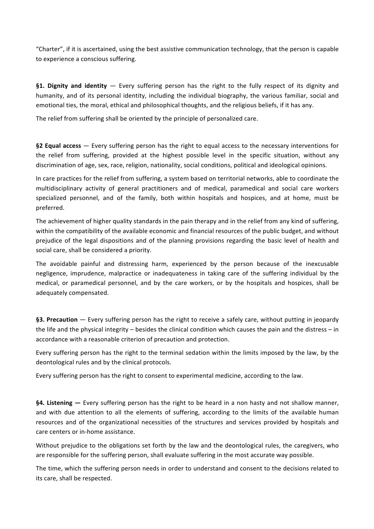"Charter", if it is ascertained, using the best assistive communication technology, that the person is capable to experience a conscious suffering.

**§1. Dignity and identity** — Every suffering person has the right to the fully respect of its dignity and humanity, and of its personal identity, including the individual biography, the various familiar, social and emotional ties, the moral, ethical and philosophical thoughts, and the religious beliefs, if it has any.

The relief from suffering shall be oriented by the principle of personalized care.

**§2 Equal access** — Every suffering person has the right to equal access to the necessary interventions for the relief from suffering, provided at the highest possible level in the specific situation, without any discrimination of age, sex, race, religion, nationality, social conditions, political and ideological opinions.

In care practices for the relief from suffering, a system based on territorial networks, able to coordinate the multidisciplinary activity of general practitioners and of medical, paramedical and social care workers specialized personnel, and of the family, both within hospitals and hospices, and at home, must be preferred.

The achievement of higher quality standards in the pain therapy and in the relief from any kind of suffering, within the compatibility of the available economic and financial resources of the public budget, and without prejudice of the legal dispositions and of the planning provisions regarding the basic level of health and social care, shall be considered a priority.

The avoidable painful and distressing harm, experienced by the person because of the inexcusable negligence, imprudence, malpractice or inadequateness in taking care of the suffering individual by the medical, or paramedical personnel, and by the care workers, or by the hospitals and hospices, shall be adequately compensated.

§3. Precaution — Every suffering person has the right to receive a safely care, without putting in jeopardy the life and the physical integrity – besides the clinical condition which causes the pain and the distress – in accordance with a reasonable criterion of precaution and protection.

Every suffering person has the right to the terminal sedation within the limits imposed by the law, by the deontological rules and by the clinical protocols.

Every suffering person has the right to consent to experimental medicine, according to the law.

§4. Listening — Every suffering person has the right to be heard in a non hasty and not shallow manner, and with due attention to all the elements of suffering, according to the limits of the available human resources and of the organizational necessities of the structures and services provided by hospitals and care centers or in-home assistance.

Without prejudice to the obligations set forth by the law and the deontological rules, the caregivers, who are responsible for the suffering person, shall evaluate suffering in the most accurate way possible.

The time, which the suffering person needs in order to understand and consent to the decisions related to its care, shall be respected.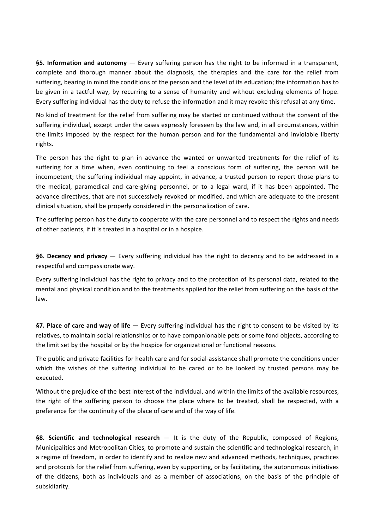**§5. Information and autonomy** — Every suffering person has the right to be informed in a transparent, complete and thorough manner about the diagnosis, the therapies and the care for the relief from suffering, bearing in mind the conditions of the person and the level of its education; the information has to be given in a tactful way, by recurring to a sense of humanity and without excluding elements of hope. Every suffering individual has the duty to refuse the information and it may revoke this refusal at any time.

No kind of treatment for the relief from suffering may be started or continued without the consent of the suffering individual, except under the cases expressly foreseen by the law and, in all circumstances, within the limits imposed by the respect for the human person and for the fundamental and inviolable liberty rights.

The person has the right to plan in advance the wanted or unwanted treatments for the relief of its suffering for a time when, even continuing to feel a conscious form of suffering, the person will be incompetent; the suffering individual may appoint, in advance, a trusted person to report those plans to the medical, paramedical and care-giving personnel, or to a legal ward, if it has been appointed. The advance directives, that are not successively revoked or modified, and which are adequate to the present clinical situation, shall be properly considered in the personalization of care.

The suffering person has the duty to cooperate with the care personnel and to respect the rights and needs of other patients, if it is treated in a hospital or in a hospice.

**§6. Decency and privacy** — Every suffering individual has the right to decency and to be addressed in a respectful and compassionate way.

Every suffering individual has the right to privacy and to the protection of its personal data, related to the mental and physical condition and to the treatments applied for the relief from suffering on the basis of the law.

§7. Place of care and way of life — Every suffering individual has the right to consent to be visited by its relatives, to maintain social relationships or to have companionable pets or some fond objects, according to the limit set by the hospital or by the hospice for organizational or functional reasons.

The public and private facilities for health care and for social-assistance shall promote the conditions under which the wishes of the suffering individual to be cared or to be looked by trusted persons may be executed.

Without the prejudice of the best interest of the individual, and within the limits of the available resources, the right of the suffering person to choose the place where to be treated, shall be respected, with a preference for the continuity of the place of care and of the way of life.

**§8. Scientific and technological research** — It is the duty of the Republic, composed of Regions, Municipalities and Metropolitan Cities, to promote and sustain the scientific and technological research, in a regime of freedom, in order to identify and to realize new and advanced methods, techniques, practices and protocols for the relief from suffering, even by supporting, or by facilitating, the autonomous initiatives of the citizens, both as individuals and as a member of associations, on the basis of the principle of subsidiarity.